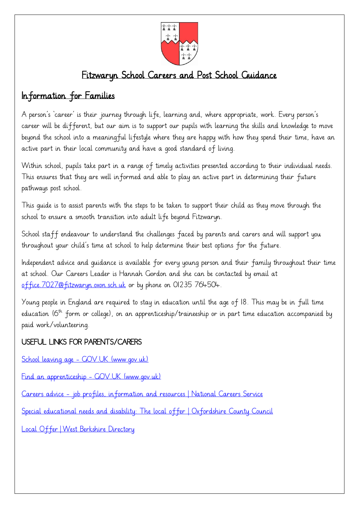

## Fitzwaryn School Careers and Post School Guidance

## Information for Families

A person's 'career' is their journey through life, learning and, where appropriate, work. Every person's career will be different, but our aim is to support our pupils with learning the skills and knowledge to move beyond the school into a meaningful lifestyle where they are happy with how they spend their time, have an active part in their local community and have a good standard of living.

Within school, pupils take part in a range of timely activities presented according to their individual needs. This ensures that they are well informed and able to play an active part in determining their future pathways post school.

This guide is to assist parents with the steps to be taken to support their child as they move through the school to ensure a smooth transition into adult life beyond Fitzwaryn.

School staff endeavour to understand the challenges faced by parents and carers and will support you throughout your child's time at school to help determine their best options for the future.

Independent advice and guidance is available for every young person and their family throughout their time at school. Our Careers Leader is Hannah Gordon and she can be contacted by email at [office.7027@fitzwaryn.oxon.sch.uk](mailto:office.7027@fitzwaryn.oxon.sch.uk) or by phone on 01235 764504.

Young people in England are required to stay in education until the age of 18. This may be in full time education  $(6<sup>th</sup>$  form or college), on an apprenticeship/traineeship or in part time education accompanied by paid work/volunteering.

#### USEFUL LINKS FOR PARENTS/CARERS

School leaving age - [GOV.UK \(www.gov.uk\)](https://www.gov.uk/know-when-you-can-leave-school)

[Find an apprenticeship -](https://www.gov.uk/apply-apprenticeship) GOV.UK (www.gov.uk)

Careers advice - [job profiles, information and resources | National Careers Service](https://nationalcareers.service.gov.uk/)

[Special educational needs and disability: The local offer | Oxfordshire County Council](https://www.oxfordshire.gov.uk/residents/children-education-and-families/education-and-learning/special-educational-needs-and-disability-local-offer)

Local Offer | [West Berkshire Directory](https://directory.westberks.gov.uk/kb5/westberkshire/directory/localoffer.page?localofferchannel=0)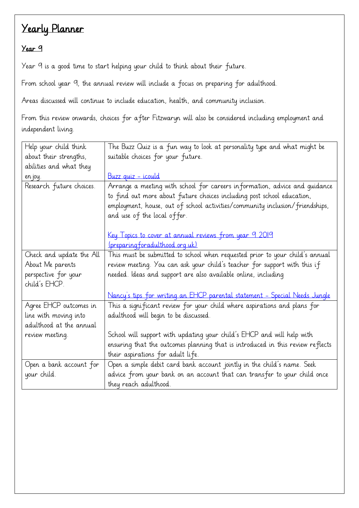#### Year 9

Year 9 is a good time to start helping your child to think about their future.

From school year 9, the annual review will include a focus on preparing for adulthood.

Areas discussed will continue to include education, health, and community inclusion.

From this review onwards, choices for after Fitzwaryn will also be considered including employment and independent living.

| Help your child think                                                      | The Buzz Quiz is a fun way to look at personality type and what might be                                                                                                                                                                                            |
|----------------------------------------------------------------------------|---------------------------------------------------------------------------------------------------------------------------------------------------------------------------------------------------------------------------------------------------------------------|
| about their strengths,                                                     | suitable choices for your future.                                                                                                                                                                                                                                   |
| abilities and what they                                                    |                                                                                                                                                                                                                                                                     |
| en joy.                                                                    | <u>Buzz quiz - icould</u>                                                                                                                                                                                                                                           |
| Research future choices.                                                   | Arrange a meeting with school for careers information, advice and quidance<br>to find out more about future choices including post school education,<br>employment, house, out of school activities/community inclusion/friendships,<br>and use of the local offer. |
|                                                                            | Key Topics to cover at annual reviews from year 9 2019                                                                                                                                                                                                              |
|                                                                            | (preparing for adulthood org.uk)                                                                                                                                                                                                                                    |
| Check and update the All<br>About Me parents                               | This must be submitted to school when requested prior to your child's annual<br>review meeting. You can ask your child's teacher for support with this if                                                                                                           |
| perspective for your<br>child's EHCP.                                      | needed. Ideas and support are also available online, including                                                                                                                                                                                                      |
|                                                                            | Nancy's tips for writing an EHCP parental statement - Special Needs Jungle                                                                                                                                                                                          |
| Agree EHCP outcomes in<br>line with moving into<br>adulthood at the annual | This a significant review for your child where aspirations and plans for<br>adulthood will begin to be discussed.                                                                                                                                                   |
| review meeting.                                                            | School will support with updating your child's EHCP and will help with                                                                                                                                                                                              |
|                                                                            | ensuring that the outcomes planning that is introduced in this review reflects<br>their aspirations for adult life.                                                                                                                                                 |
| Open a bank account for                                                    | Open a simple debit card bank account jointly in the child's name. Seek                                                                                                                                                                                             |
| your child.                                                                | advice from your bank on an account that can transfer to your child once                                                                                                                                                                                            |
|                                                                            | they reach adulthood.                                                                                                                                                                                                                                               |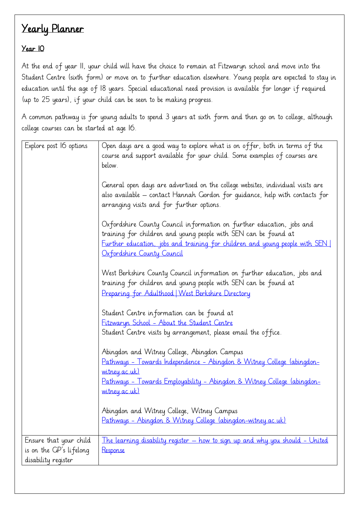#### Year 10

At the end of year 11, your child will have the choice to remain at Fitzwaryn school and move into the Student Centre (sixth form) or move on to further education elsewhere. Young people are expected to stay in education until the age of 18 years. Special educational need provision is available for longer if required (up to 25 years), if your child can be seen to be making progress.

A common pathway is for young adults to spend 3 years at sixth form and then go on to college, although college courses can be started at age 16.

| Explore post I6 options                                                  | Open days are a good way to explore what is on offer, both in terms of the<br>course and support available for your child. Some examples of courses are<br>below.                                                                                       |
|--------------------------------------------------------------------------|---------------------------------------------------------------------------------------------------------------------------------------------------------------------------------------------------------------------------------------------------------|
|                                                                          | General open days are advertised on the college websites, individual visits are<br>also available – contact Hannah Gordon for quidance, help with contacts for<br>arranging visits and for further options.                                             |
|                                                                          | Oxfordshire County Council information on further education, jobs and<br>training for children and young people with SEN can be found at<br>Further education, jobs and training for children and young people with SEN  <br>Oxfordshire County Council |
|                                                                          | West Berkshire County Council information on further education, jobs and<br>training for children and young people with SEN can be found at<br>Preparing for Adulthood   West Berkshire Directory                                                       |
|                                                                          | Student Centre information can be found at<br>Fitzwaryn School - About the Student Centre<br>Student Centre visits by arrangement, please email the office.                                                                                             |
|                                                                          | Abingdon and Witney College, Abingdon Campus<br><u> Pathways - Towards Independence - Abingdon &amp; Witney College (abingdon-</u><br><u>witney</u> .ac.uk)<br><u> Pathways - Towards Employability - Abingdon &amp; Witney College (abingdon-</u>      |
|                                                                          | <u>witney.ac.uk)</u><br>Abingdon and Witney College, Witney Campus<br>Pathways - Abingdon & Witney College (abingdon-witney.ac.uk)                                                                                                                      |
| Ensure that your child<br>is on the GP's lifelong<br>disability register | The learning disability register - how to sign up and why you should - United<br>Response                                                                                                                                                               |
|                                                                          |                                                                                                                                                                                                                                                         |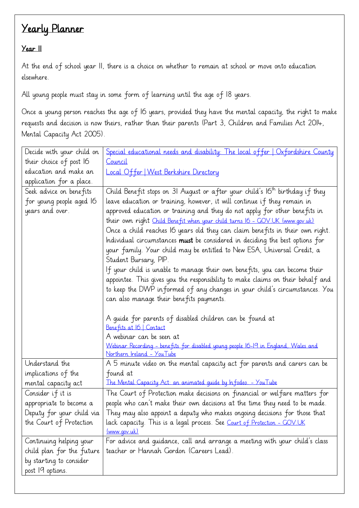#### Year II

At the end of school year II, there is a choice on whether to remain at school or move onto education elsewhere.

All young people must stay in some form of learning until the age of 18 years.

Once a young person reaches the age of 16 years, provided they have the mental capacity, the right to make requests and decision is now theirs, rather than their parents (Part 3, Children and Families Act 2014, Mental Capacity Act 2005).

| Decide with your child on | Special educational needs and disability: The local offer   Oxfordshire County           |
|---------------------------|------------------------------------------------------------------------------------------|
| their choice of post I6   | Council                                                                                  |
| education and make an     | Local Offer   West Berkshire Directory                                                   |
| application for a place.  |                                                                                          |
| Seek advice on benefits   | Child Benefit stops on 31 August or after your child's 16 <sup>th</sup> birthday if they |
| for young people aged 16  | leave education or training, however, it will continue if they remain in                 |
| years and over.           | approved education or training and they do not apply for other benefits in               |
|                           | their own right Child Benefit when your child turns 16 - GOV.UK (www.gov.uk)             |
|                           | Once a child reaches I6 years old they can claim benefits in their own right.            |
|                           | Individual circumstances <b>must</b> be considered in deciding the best options for      |
|                           | your family. Your child may be entitled to New ESA, Universal Credit, a                  |
|                           | Student Bursary, PIP.                                                                    |
|                           | If your child is unable to manage their own benefits, you can become their               |
|                           | appointee. This gives you the responsibility to make claims on their behalf and          |
|                           | to keep the DWP informed of any changes in your child's circumstances. You               |
|                           | can also manage their benefits payments.                                                 |
|                           |                                                                                          |
|                           | A quide for parents of disabled children can be found at                                 |
|                           | Benefits at 16   Contact                                                                 |
|                           | A webinar can be seen at                                                                 |
|                           | Webinar Recording - benefits for disabled young people 16-19 in England, Wales and       |
|                           | Northern Ireland - YouTube                                                               |
| Understand the            | A 5 minute video on the mental capacity act for parents and carers can be                |
| implications of the       | found at                                                                                 |
| mental capacity act       | The Mental Capacity Act: an animated guide by Infodeo. - YouTube                         |
| Consider if it is         | The Court of Protection make decisions on financial or welfare matters for               |
| appropriate to become a   | people who can't make their own decisions at the time they need to be made.              |
| Deputy for your child via | They may also appoint a deputy who makes ongoing decisions for those that                |
| the Court of Protection   | lack capacity. This is a legal process. See Court of Protection - GOV.UK                 |
|                           | (www.gov.uk)                                                                             |
| Continuing helping your   | For advice and quidance, call and arrange a meeting with your child's class              |
| child plan for the future | teacher or Hannah Gordon (Careers Lead).                                                 |
|                           |                                                                                          |
| post 19 options.          |                                                                                          |
| by starting to consider   |                                                                                          |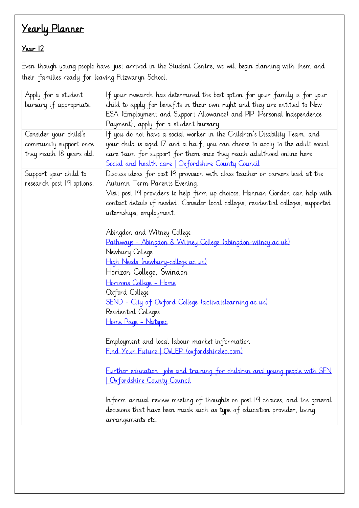### Year 12

Even though young people have just arrived in the Student Centre, we will begin planning with them and their families ready for leaving Fitzwaryn School.

| Apply for a student       | If your research has determined the best option for your family is for your         |
|---------------------------|-------------------------------------------------------------------------------------|
| bursary if appropriate.   | child to apply for benefits in their own right and they are entitled to New         |
|                           | ESA (Employment and Support Allowance) and PIP (Personal Independence               |
|                           | Payment), apply for a student bursary.                                              |
| Consider your child's     | If you do not have a social worker in the Children's Disability Team, and           |
| community support once    | your child is aged 17 and a half, you can choose to apply to the adult social       |
| they reach 18 years old.  | care team for support for them once they reach adulthood online here                |
|                           | Social and health care   Oxfordshire County Council                                 |
| Support your child to     | Discuss ideas for post 19 provision with class teacher or careers lead at the       |
| research post 19 options. | Autumn Term Parents Evening.                                                        |
|                           | Visit post 19 providers to help firm up choices. Hannah Gordon can help with        |
|                           | contact details if needed. Consider local colleges, residential colleges, supported |
|                           | internships, employment.                                                            |
|                           |                                                                                     |
|                           | Abingdon and Witney College                                                         |
|                           | Pathways - Abingdon & Witney College (abingdon-witney ac.uk)                        |
|                           | Newbury College                                                                     |
|                           | High Needs (newbury-college.ac.uk)                                                  |
|                           | Horizon College, Swindon                                                            |
|                           | Horizons College - Home                                                             |
|                           | Oxford College                                                                      |
|                           | <u>SEND - City of Oxford College (activatelearning.ac.uk)</u>                       |
|                           | Residential Colleges                                                                |
|                           | Home Page - Natspec                                                                 |
|                           |                                                                                     |
|                           | Employment and local labour market information                                      |
|                           | Find Your Future   OxLEP (oxfordshirelep.com)                                       |
|                           | Further education, jobs and training for children and young people with SEN         |
|                           | Oxfordshire County Council                                                          |
|                           |                                                                                     |
|                           | Inform annual review meeting of thoughts on post 19 choices, and the general        |
|                           | decisions that have been made such as type of education provider, living            |
|                           | arrangements etc.                                                                   |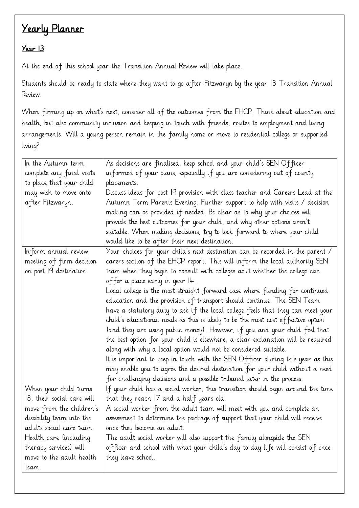#### Year 13

At the end of this school year the Transition Annual Review will take place.

Students should be ready to state where they want to go after Fitzwaryn by the year 13 Transition Annual Review.

When firming up on what's next, consider all of the outcomes from the EHCP. Think about education and health, but also community inclusion and keeping in touch with friends, routes to employment and living arrangements. Will a young person remain in the family home or move to residential college or supported living?

| As decisions are finalised, keep school and your child's SEN Officer<br>In the Autumn term,<br>informed of your plans, especially if you are considering out of county<br>complete any final visits<br>to place that your child<br>placements.<br>Discuss ideas for post 19 provision with class teacher and Careers Lead at the<br>may wish to move onto<br>Autumn Term Parents Evening. Further support to help with visits / decision<br>after Fitzwaryn. |  |
|--------------------------------------------------------------------------------------------------------------------------------------------------------------------------------------------------------------------------------------------------------------------------------------------------------------------------------------------------------------------------------------------------------------------------------------------------------------|--|
|                                                                                                                                                                                                                                                                                                                                                                                                                                                              |  |
|                                                                                                                                                                                                                                                                                                                                                                                                                                                              |  |
|                                                                                                                                                                                                                                                                                                                                                                                                                                                              |  |
|                                                                                                                                                                                                                                                                                                                                                                                                                                                              |  |
| making can be provided if needed. Be clear as to why your choices will                                                                                                                                                                                                                                                                                                                                                                                       |  |
| provide the best outcomes for your child, and why other options aren't                                                                                                                                                                                                                                                                                                                                                                                       |  |
| suitable. When making decisions, try to look forward to where your child                                                                                                                                                                                                                                                                                                                                                                                     |  |
| would like to be after their next destination.                                                                                                                                                                                                                                                                                                                                                                                                               |  |
| Your choices for your child's next destination can be recorded in the parent /<br>Inform annual review                                                                                                                                                                                                                                                                                                                                                       |  |
| carers section of the EHCP report. This will inform the local authority SEN<br>meeting of firm decision                                                                                                                                                                                                                                                                                                                                                      |  |
| on post 19 destination.<br>team when they begin to consult with colleges abut whether the college can                                                                                                                                                                                                                                                                                                                                                        |  |
| offer a place early in year I4.                                                                                                                                                                                                                                                                                                                                                                                                                              |  |
| Local college is the most straight forward case where funding for continued                                                                                                                                                                                                                                                                                                                                                                                  |  |
| education and the provision of transport should continue. The SEN Team                                                                                                                                                                                                                                                                                                                                                                                       |  |
| have a statutory duty to ask if the local college feels that they can meet your                                                                                                                                                                                                                                                                                                                                                                              |  |
| child's educational needs as this is likely to be the most cost effective option                                                                                                                                                                                                                                                                                                                                                                             |  |
| (and they are using public money). However, if you and your child feel that                                                                                                                                                                                                                                                                                                                                                                                  |  |
| the best option for your child is elsewhere, a clear explanation will be required                                                                                                                                                                                                                                                                                                                                                                            |  |
| along with why a local option would not be considered suitable.                                                                                                                                                                                                                                                                                                                                                                                              |  |
| It is important to keep in touch with the SEN Officer during this year as this                                                                                                                                                                                                                                                                                                                                                                               |  |
| may enable you to agree the desired destination for your child without a need                                                                                                                                                                                                                                                                                                                                                                                |  |
| for challenging decisions and a possible tribunal later in the process.                                                                                                                                                                                                                                                                                                                                                                                      |  |
| When your child turns<br>If your child has a social worker, this transition should begin around the time                                                                                                                                                                                                                                                                                                                                                     |  |
| 18, their social care will<br>that they reach 17 and a half years old.                                                                                                                                                                                                                                                                                                                                                                                       |  |
| move from the children's<br>A social worker from the adult team will meet with you and complete an                                                                                                                                                                                                                                                                                                                                                           |  |
| assessment to determine the package of support that your child will receive<br>disability team into the                                                                                                                                                                                                                                                                                                                                                      |  |
| adults social care team.<br>once they become an adult.                                                                                                                                                                                                                                                                                                                                                                                                       |  |
| The adult social worker will also support the family alongside the SEN<br>Health care (including                                                                                                                                                                                                                                                                                                                                                             |  |
| officer and school with what your child's day to day life will consist of once<br>therapy services) will                                                                                                                                                                                                                                                                                                                                                     |  |
| move to the adult health<br>they leave school.                                                                                                                                                                                                                                                                                                                                                                                                               |  |
| team.                                                                                                                                                                                                                                                                                                                                                                                                                                                        |  |